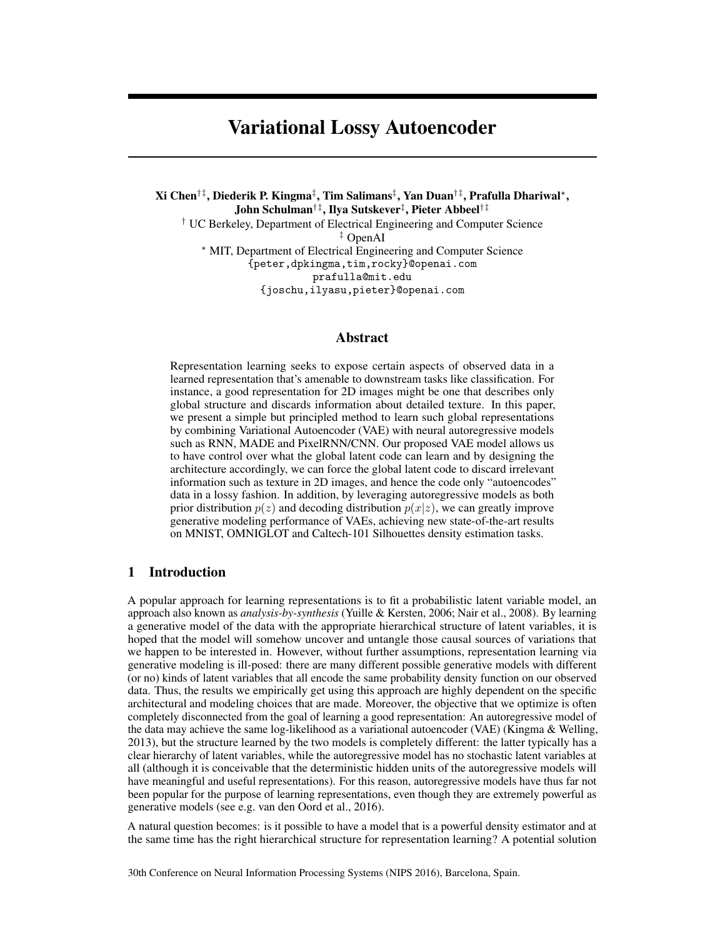# Variational Lossy Autoencoder

Xi Chen†‡, Diederik P. Kingma‡ , Tim Salimans‡ , Yan Duan†‡, Prafulla Dhariwal? , John Schulman†‡, Ilya Sutskever‡ , Pieter Abbeel†‡ † UC Berkeley, Department of Electrical Engineering and Computer Science ‡ OpenAI ? MIT, Department of Electrical Engineering and Computer Science {peter,dpkingma,tim,rocky}@openai.com prafulla@mit.edu {joschu,ilyasu,pieter}@openai.com

### Abstract

Representation learning seeks to expose certain aspects of observed data in a learned representation that's amenable to downstream tasks like classification. For instance, a good representation for 2D images might be one that describes only global structure and discards information about detailed texture. In this paper, we present a simple but principled method to learn such global representations by combining Variational Autoencoder (VAE) with neural autoregressive models such as RNN, MADE and PixelRNN/CNN. Our proposed VAE model allows us to have control over what the global latent code can learn and by designing the architecture accordingly, we can force the global latent code to discard irrelevant information such as texture in 2D images, and hence the code only "autoencodes" data in a lossy fashion. In addition, by leveraging autoregressive models as both prior distribution  $p(z)$  and decoding distribution  $p(x|z)$ , we can greatly improve generative modeling performance of VAEs, achieving new state-of-the-art results on MNIST, OMNIGLOT and Caltech-101 Silhouettes density estimation tasks.

## 1 Introduction

A popular approach for learning representations is to fit a probabilistic latent variable model, an approach also known as *analysis-by-synthesis* [\(Yuille & Kersten,](#page-5-0) [2006;](#page-5-0) [Nair et al.,](#page-4-0) [2008\)](#page-4-0). By learning a generative model of the data with the appropriate hierarchical structure of latent variables, it is hoped that the model will somehow uncover and untangle those causal sources of variations that we happen to be interested in. However, without further assumptions, representation learning via generative modeling is ill-posed: there are many different possible generative models with different (or no) kinds of latent variables that all encode the same probability density function on our observed data. Thus, the results we empirically get using this approach are highly dependent on the specific architectural and modeling choices that are made. Moreover, the objective that we optimize is often completely disconnected from the goal of learning a good representation: An autoregressive model of the data may achieve the same log-likelihood as a variational autoencoder (VAE) [\(Kingma & Welling,](#page-4-1) [2013\)](#page-4-1), but the structure learned by the two models is completely different: the latter typically has a clear hierarchy of latent variables, while the autoregressive model has no stochastic latent variables at all (although it is conceivable that the deterministic hidden units of the autoregressive models will have meaningful and useful representations). For this reason, autoregressive models have thus far not been popular for the purpose of learning representations, even though they are extremely powerful as generative models (see e.g. [van den Oord et al.,](#page-5-1) [2016\)](#page-5-1).

A natural question becomes: is it possible to have a model that is a powerful density estimator and at the same time has the right hierarchical structure for representation learning? A potential solution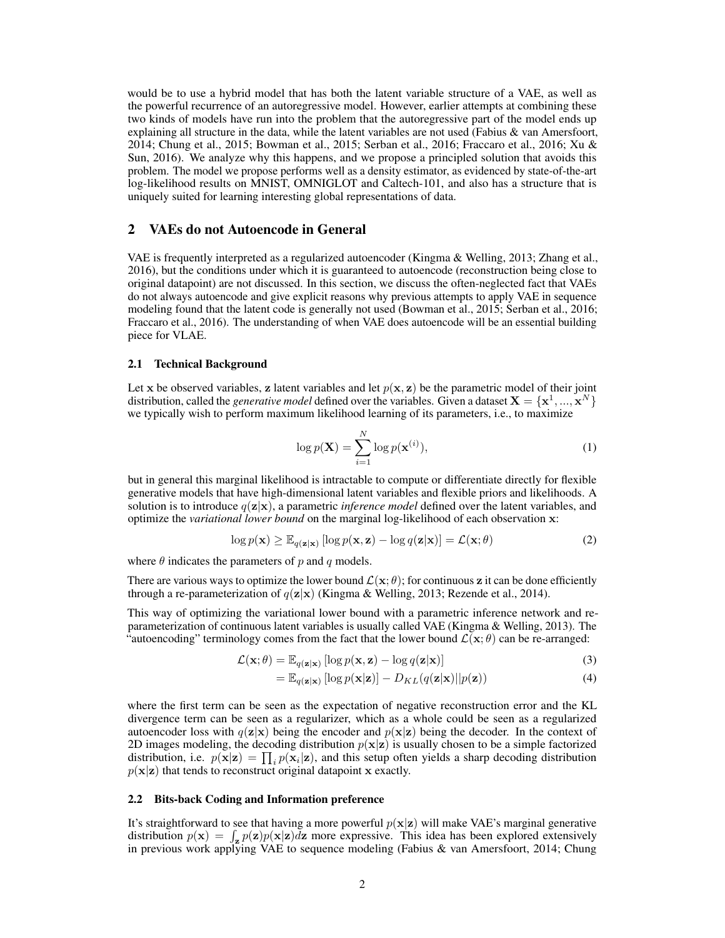would be to use a hybrid model that has both the latent variable structure of a VAE, as well as the powerful recurrence of an autoregressive model. However, earlier attempts at combining these two kinds of models have run into the problem that the autoregressive part of the model ends up explaining all structure in the data, while the latent variables are not used (Fabius  $\&$  van Amersfoort, [2014;](#page-4-2) [Chung et al.,](#page-4-3) [2015;](#page-4-3) [Bowman et al.,](#page-4-4) [2015;](#page-4-4) [Serban et al.,](#page-5-2) [2016;](#page-5-2) [Fraccaro et al.,](#page-4-5) [2016;](#page-4-5) [Xu &](#page-5-3) [Sun,](#page-5-3) [2016\)](#page-5-3). We analyze why this happens, and we propose a principled solution that avoids this problem. The model we propose performs well as a density estimator, as evidenced by state-of-the-art log-likelihood results on MNIST, OMNIGLOT and Caltech-101, and also has a structure that is uniquely suited for learning interesting global representations of data.

#### 2 VAEs do not Autoencode in General

VAE is frequently interpreted as a regularized autoencoder [\(Kingma & Welling,](#page-4-1) [2013;](#page-4-1) [Zhang et al.,](#page-5-4) [2016\)](#page-5-4), but the conditions under which it is guaranteed to autoencode (reconstruction being close to original datapoint) are not discussed. In this section, we discuss the often-neglected fact that VAEs do not always autoencode and give explicit reasons why previous attempts to apply VAE in sequence modeling found that the latent code is generally not used [\(Bowman et al.,](#page-4-4) [2015;](#page-4-4) [Serban et al.,](#page-5-2) [2016;](#page-5-2) [Fraccaro et al.,](#page-4-5) [2016\)](#page-4-5). The understanding of when VAE does autoencode will be an essential building piece for VLAE.

#### 2.1 Technical Background

Let x be observed variables, z latent variables and let  $p(x, z)$  be the parametric model of their joint distribution, called the *generative model* defined over the variables. Given a dataset  $X = \{x^1, ..., x^N\}$ we typically wish to perform maximum likelihood learning of its parameters, i.e., to maximize

$$
\log p(\mathbf{X}) = \sum_{i=1}^{N} \log p(\mathbf{x}^{(i)}),
$$
\n(1)

but in general this marginal likelihood is intractable to compute or differentiate directly for flexible generative models that have high-dimensional latent variables and flexible priors and likelihoods. A solution is to introduce  $q(\mathbf{z}|\mathbf{x})$ , a parametric *inference model* defined over the latent variables, and optimize the *variational lower bound* on the marginal log-likelihood of each observation x:

$$
\log p(\mathbf{x}) \ge \mathbb{E}_{q(\mathbf{z}|\mathbf{x})} [\log p(\mathbf{x}, \mathbf{z}) - \log q(\mathbf{z}|\mathbf{x})] = \mathcal{L}(\mathbf{x}; \theta)
$$
 (2)

where  $\theta$  indicates the parameters of p and q models.

There are various ways to optimize the lower bound  $\mathcal{L}(\mathbf{x}; \theta)$ ; for continuous z it can be done efficiently through a re-parameterization of  $q(\mathbf{z}|\mathbf{x})$  [\(Kingma & Welling,](#page-4-1) [2013;](#page-4-1) [Rezende et al.,](#page-5-5) [2014\)](#page-5-5).

This way of optimizing the variational lower bound with a parametric inference network and reparameterization of continuous latent variables is usually called VAE [\(Kingma & Welling,](#page-4-1) [2013\)](#page-4-1). The "autoencoding" terminology comes from the fact that the lower bound  $\mathcal{L}(\mathbf{x}; \theta)$  can be re-arranged:

$$
\mathcal{L}(\mathbf{x};\theta) = \mathbb{E}_{q(\mathbf{z}|\mathbf{x})} [\log p(\mathbf{x}, \mathbf{z}) - \log q(\mathbf{z}|\mathbf{x})]
$$
(3)

$$
= \mathbb{E}_{q(\mathbf{z}|\mathbf{x})} [\log p(\mathbf{x}|\mathbf{z})] - D_{KL}(q(\mathbf{z}|\mathbf{x})||p(\mathbf{z})) \tag{4}
$$

where the first term can be seen as the expectation of negative reconstruction error and the KL divergence term can be seen as a regularizer, which as a whole could be seen as a regularized autoencoder loss with  $q(\mathbf{z}|\mathbf{x})$  being the encoder and  $p(\mathbf{x}|\mathbf{z})$  being the decoder. In the context of 2D images modeling, the decoding distribution  $p(x|z)$  is usually chosen to be a simple factorized distribution, i.e.  $p(\mathbf{x}|\mathbf{z}) = \prod_i p(\mathbf{x}_i|\mathbf{z})$ , and this setup often yields a sharp decoding distribution  $p(x|z)$  that tends to reconstruct original datapoint x exactly.

#### <span id="page-1-0"></span>2.2 Bits-back Coding and Information preference

It's straightforward to see that having a more powerful  $p(x|z)$  will make VAE's marginal generative distribution  $p(\mathbf{x}) = \int_{\mathbf{z}} p(\mathbf{z})p(\mathbf{x}|\mathbf{z})d\mathbf{z}$  more expressive. This idea has been explored extensively in previous work applying VAE to sequence modeling [\(Fabius & van Amersfoort,](#page-4-2) [2014;](#page-4-2) [Chung](#page-4-3)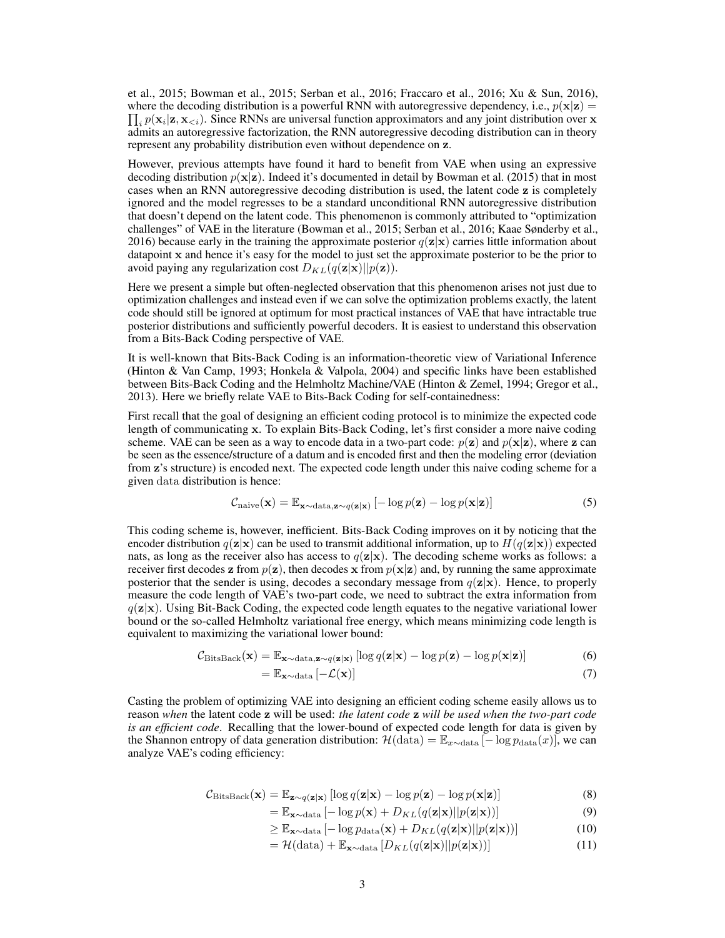[et al.,](#page-4-3) [2015;](#page-4-3) [Bowman et al.,](#page-4-4) [2015;](#page-4-4) [Serban et al.,](#page-5-2) [2016;](#page-5-2) [Fraccaro et al.,](#page-4-5) [2016;](#page-4-5) [Xu & Sun,](#page-5-3) [2016\)](#page-5-3), where the decoding distribution is a powerful RNN with autoregressive dependency, i.e.,  $p(\mathbf{x}|\mathbf{z}) =$  $\prod_i p(\mathbf{x}_i | \mathbf{z}, \mathbf{x}_{\le i})$ . Since RNNs are universal function approximators and any joint distribution over x admits an autoregressive factorization, the RNN autoregressive decoding distribution can in theory represent any probability distribution even without dependence on z.

However, previous attempts have found it hard to benefit from VAE when using an expressive decoding distribution  $p(x|z)$ . Indeed it's documented in detail by [Bowman et al.](#page-4-4) [\(2015\)](#page-4-4) that in most cases when an RNN autoregressive decoding distribution is used, the latent code z is completely ignored and the model regresses to be a standard unconditional RNN autoregressive distribution that doesn't depend on the latent code. This phenomenon is commonly attributed to "optimization challenges" of VAE in the literature [\(Bowman et al.,](#page-4-4) [2015;](#page-4-4) [Serban et al.,](#page-5-2) [2016;](#page-5-2) [Kaae Sønderby et al.,](#page-4-6) [2016\)](#page-4-6) because early in the training the approximate posterior  $q(\mathbf{z}|\mathbf{x})$  carries little information about datapoint x and hence it's easy for the model to just set the approximate posterior to be the prior to avoid paying any regularization cost  $D_{KL}(q(\mathbf{z}|\mathbf{x})||p(\mathbf{z})).$ 

Here we present a simple but often-neglected observation that this phenomenon arises not just due to optimization challenges and instead even if we can solve the optimization problems exactly, the latent code should still be ignored at optimum for most practical instances of VAE that have intractable true posterior distributions and sufficiently powerful decoders. It is easiest to understand this observation from a Bits-Back Coding perspective of VAE.

It is well-known that Bits-Back Coding is an information-theoretic view of Variational Inference [\(Hinton & Van Camp,](#page-4-7) [1993;](#page-4-7) [Honkela & Valpola,](#page-4-8) [2004\)](#page-4-8) and specific links have been established between Bits-Back Coding and the Helmholtz Machine/VAE [\(Hinton & Zemel,](#page-4-9) [1994;](#page-4-9) [Gregor et al.,](#page-4-10) [2013\)](#page-4-10). Here we briefly relate VAE to Bits-Back Coding for self-containedness:

First recall that the goal of designing an efficient coding protocol is to minimize the expected code length of communicating x. To explain Bits-Back Coding, let's first consider a more naive coding scheme. VAE can be seen as a way to encode data in a two-part code:  $p(z)$  and  $p(x|z)$ , where z can be seen as the essence/structure of a datum and is encoded first and then the modeling error (deviation from z's structure) is encoded next. The expected code length under this naive coding scheme for a given data distribution is hence:

$$
C_{\text{naive}}(\mathbf{x}) = \mathbb{E}_{\mathbf{x} \sim \text{data}, \mathbf{z} \sim q(\mathbf{z}|\mathbf{x})} \left[ -\log p(\mathbf{z}) - \log p(\mathbf{x}|\mathbf{z}) \right] \tag{5}
$$

This coding scheme is, however, inefficient. Bits-Back Coding improves on it by noticing that the encoder distribution  $q(\mathbf{z}|\mathbf{x})$  can be used to transmit additional information, up to  $H(q(\mathbf{z}|\mathbf{x}))$  expected nats, as long as the receiver also has access to  $q(\mathbf{z}|\mathbf{x})$ . The decoding scheme works as follows: a receiver first decodes z from  $p(z)$ , then decodes x from  $p(x|z)$  and, by running the same approximate posterior that the sender is using, decodes a secondary message from  $q(\mathbf{z}|\mathbf{x})$ . Hence, to properly measure the code length of VAE's two-part code, we need to subtract the extra information from  $q(z|x)$ . Using Bit-Back Coding, the expected code length equates to the negative variational lower bound or the so-called Helmholtz variational free energy, which means minimizing code length is equivalent to maximizing the variational lower bound:

$$
\mathcal{C}_{\text{BitsBack}}(\mathbf{x}) = \mathbb{E}_{\mathbf{x} \sim \text{data}, \mathbf{z} \sim q(\mathbf{z}|\mathbf{x})} [\log q(\mathbf{z}|\mathbf{x}) - \log p(\mathbf{z}) - \log p(\mathbf{x}|\mathbf{z})] \tag{6}
$$

$$
= \mathbb{E}_{\mathbf{x} \sim \text{data}} \left[ -\mathcal{L}(\mathbf{x}) \right] \tag{7}
$$

Casting the problem of optimizing VAE into designing an efficient coding scheme easily allows us to reason *when* the latent code z will be used: *the latent code* z *will be used when the two-part code is an efficient code*. Recalling that the lower-bound of expected code length for data is given by the Shannon entropy of data generation distribution:  $\mathcal{H}(\text{data}) = \mathbb{E}_{x \sim \text{data}} [-\log p_{\text{data}}(x)]$ , we can analyze VAE's coding efficiency:

$$
\mathcal{C}_{\text{BitsBack}}(\mathbf{x}) = \mathbb{E}_{\mathbf{z} \sim q(\mathbf{z}|\mathbf{x})} [\log q(\mathbf{z}|\mathbf{x}) - \log p(\mathbf{z}) - \log p(\mathbf{x}|\mathbf{z})] \tag{8}
$$

$$
= \mathbb{E}_{\mathbf{x} \sim \text{data}} \left[ -\log p(\mathbf{x}) + D_{KL}(q(\mathbf{z}|\mathbf{x})||p(\mathbf{z}|\mathbf{x})) \right]
$$
(9)

$$
\geq \mathbb{E}_{\mathbf{x} \sim \text{data}}\left[-\log p_{\text{data}}(\mathbf{x}) + D_{KL}(q(\mathbf{z}|\mathbf{x})||p(\mathbf{z}|\mathbf{x}))\right]
$$
(10)

$$
= \mathcal{H}(\text{data}) + \mathbb{E}_{\mathbf{x} \sim \text{data}} \left[ D_{KL}(q(\mathbf{z}|\mathbf{x}) || p(\mathbf{z}|\mathbf{x})) \right]
$$
(11)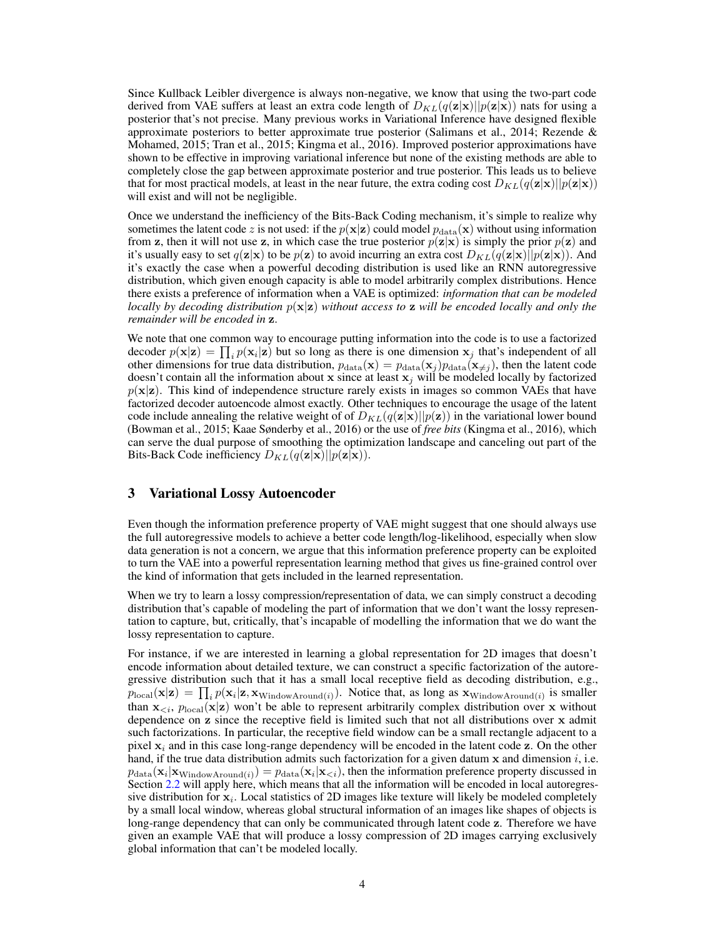Since Kullback Leibler divergence is always non-negative, we know that using the two-part code derived from VAE suffers at least an extra code length of  $D_{KL}(q(\mathbf{z}|\mathbf{x})||p(\mathbf{z}|\mathbf{x}))$  nats for using a posterior that's not precise. Many previous works in Variational Inference have designed flexible approximate posteriors to better approximate true posterior [\(Salimans et al.,](#page-5-6) [2014;](#page-5-6) Rezende  $\&$ [Mohamed,](#page-4-11) [2015;](#page-4-11) [Tran et al.,](#page-5-7) [2015;](#page-5-7) [Kingma et al.,](#page-4-12) [2016\)](#page-4-12). Improved posterior approximations have shown to be effective in improving variational inference but none of the existing methods are able to completely close the gap between approximate posterior and true posterior. This leads us to believe that for most practical models, at least in the near future, the extra coding cost  $D_{KL}(q(\mathbf{z}|\mathbf{x})||p(\mathbf{z}|\mathbf{x}))$ will exist and will not be negligible.

Once we understand the inefficiency of the Bits-Back Coding mechanism, it's simple to realize why sometimes the latent code z is not used: if the  $p(x|z)$  could model  $p_{data}(x)$  without using information from z, then it will not use z, in which case the true posterior  $p(z|x)$  is simply the prior  $p(z)$  and it's usually easy to set  $q(\mathbf{z}|\mathbf{x})$  to be  $p(\mathbf{z})$  to avoid incurring an extra cost  $D_{KL}(q(\mathbf{z}|\mathbf{x})||p(\mathbf{z}|\mathbf{x}))$ . And it's exactly the case when a powerful decoding distribution is used like an RNN autoregressive distribution, which given enough capacity is able to model arbitrarily complex distributions. Hence there exists a preference of information when a VAE is optimized: *information that can be modeled locally by decoding distribution* p(x|z) *without access to* z *will be encoded locally and only the remainder will be encoded in* z.

We note that one common way to encourage putting information into the code is to use a factorized decoder  $p(\mathbf{x}|\mathbf{z}) = \prod_i p(\mathbf{x}_i|\mathbf{z})$  but so long as there is one dimension  $\mathbf{x}_j$  that's independent of all other dimensions for true data distribution,  $p_{data}(\mathbf{x}) = p_{data}(\mathbf{x}_j) p_{data}(\mathbf{x}_{\neq j})$ , then the latent code doesn't contain all the information about x since at least  $x_j$  will be modeled locally by factorized  $p(x|z)$ . This kind of independence structure rarely exists in images so common VAEs that have factorized decoder autoencode almost exactly. Other techniques to encourage the usage of the latent code include annealing the relative weight of of  $D_{KL}(q(\mathbf{z}|\mathbf{x})||p(\mathbf{z}))$  in the variational lower bound [\(Bowman et al.,](#page-4-4) [2015;](#page-4-4) [Kaae Sønderby et al.,](#page-4-6) [2016\)](#page-4-6) or the use of *free bits* [\(Kingma et al.,](#page-4-12) [2016\)](#page-4-12), which can serve the dual purpose of smoothing the optimization landscape and canceling out part of the Bits-Back Code inefficiency  $D_{KL}(q(\mathbf{z}|\mathbf{x})||p(\mathbf{z}|\mathbf{x})).$ 

### 3 Variational Lossy Autoencoder

Even though the information preference property of VAE might suggest that one should always use the full autoregressive models to achieve a better code length/log-likelihood, especially when slow data generation is not a concern, we argue that this information preference property can be exploited to turn the VAE into a powerful representation learning method that gives us fine-grained control over the kind of information that gets included in the learned representation.

When we try to learn a lossy compression/representation of data, we can simply construct a decoding distribution that's capable of modeling the part of information that we don't want the lossy representation to capture, but, critically, that's incapable of modelling the information that we do want the lossy representation to capture.

For instance, if we are interested in learning a global representation for 2D images that doesn't encode information about detailed texture, we can construct a specific factorization of the autoregressive distribution such that it has a small local receptive field as decoding distribution, e.g.,  $p_{\text{local}}(\mathbf{x}|\mathbf{z}) = \prod_i p(\mathbf{x}_i|\mathbf{z}, \mathbf{x}_{\text{WindowAround}(i)})$ . Notice that, as long as  $\mathbf{x}_{\text{WindowAround}(i)}$  is smaller than  $\mathbf{x}_{\leq i}$ ,  $p_{\text{local}}(\mathbf{x}|\mathbf{z})$  won't be able to represent arbitrarily complex distribution over x without dependence on z since the receptive field is limited such that not all distributions over x admit such factorizations. In particular, the receptive field window can be a small rectangle adjacent to a pixel  $x_i$  and in this case long-range dependency will be encoded in the latent code z. On the other hand, if the true data distribution admits such factorization for a given datum  $x$  and dimension i, i.e.  $p_{data}(\mathbf{x}_i|\mathbf{x}_{\text{WindowAround}(i)}) = p_{data}(\mathbf{x}_i|\mathbf{x}_{< i})$ , then the information preference property discussed in Section [2.2](#page-1-0) will apply here, which means that all the information will be encoded in local autoregressive distribution for  $x_i$ . Local statistics of 2D images like texture will likely be modeled completely by a small local window, whereas global structural information of an images like shapes of objects is long-range dependency that can only be communicated through latent code z. Therefore we have given an example VAE that will produce a lossy compression of 2D images carrying exclusively global information that can't be modeled locally.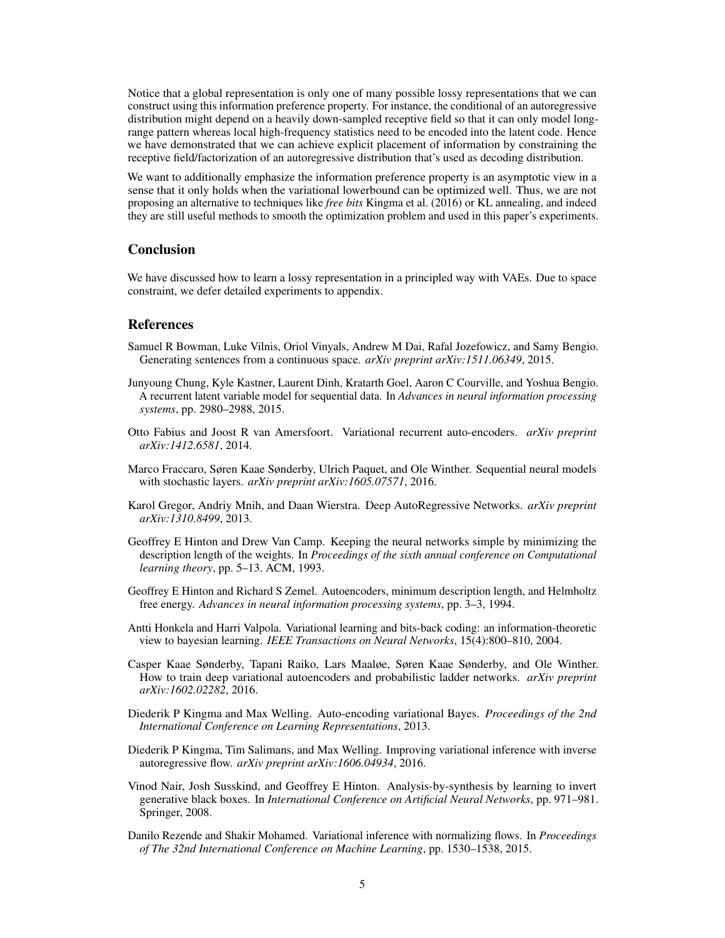Notice that a global representation is only one of many possible lossy representations that we can construct using this information preference property. For instance, the conditional of an autoregressive distribution might depend on a heavily down-sampled receptive field so that it can only model longrange pattern whereas local high-frequency statistics need to be encoded into the latent code. Hence we have demonstrated that we can achieve explicit placement of information by constraining the receptive field/factorization of an autoregressive distribution that's used as decoding distribution.

We want to additionally emphasize the information preference property is an asymptotic view in a sense that it only holds when the variational lowerbound can be optimized well. Thus, we are not proposing an alternative to techniques like *free bits* [Kingma et al.](#page-4-12) [\(2016\)](#page-4-12) or KL annealing, and indeed they are still useful methods to smooth the optimization problem and used in this paper's experiments.

#### Conclusion

We have discussed how to learn a lossy representation in a principled way with VAEs. Due to space constraint, we defer detailed experiments to appendix.

### References

- <span id="page-4-4"></span>Samuel R Bowman, Luke Vilnis, Oriol Vinyals, Andrew M Dai, Rafal Jozefowicz, and Samy Bengio. Generating sentences from a continuous space. *arXiv preprint arXiv:1511.06349*, 2015.
- <span id="page-4-3"></span>Junyoung Chung, Kyle Kastner, Laurent Dinh, Kratarth Goel, Aaron C Courville, and Yoshua Bengio. A recurrent latent variable model for sequential data. In *Advances in neural information processing systems*, pp. 2980–2988, 2015.
- <span id="page-4-2"></span>Otto Fabius and Joost R van Amersfoort. Variational recurrent auto-encoders. *arXiv preprint arXiv:1412.6581*, 2014.
- <span id="page-4-5"></span>Marco Fraccaro, Søren Kaae Sønderby, Ulrich Paquet, and Ole Winther. Sequential neural models with stochastic layers. *arXiv preprint arXiv:1605.07571*, 2016.
- <span id="page-4-10"></span>Karol Gregor, Andriy Mnih, and Daan Wierstra. Deep AutoRegressive Networks. *arXiv preprint arXiv:1310.8499*, 2013.
- <span id="page-4-7"></span>Geoffrey E Hinton and Drew Van Camp. Keeping the neural networks simple by minimizing the description length of the weights. In *Proceedings of the sixth annual conference on Computational learning theory*, pp. 5–13. ACM, 1993.
- <span id="page-4-9"></span>Geoffrey E Hinton and Richard S Zemel. Autoencoders, minimum description length, and Helmholtz free energy. *Advances in neural information processing systems*, pp. 3–3, 1994.
- <span id="page-4-8"></span>Antti Honkela and Harri Valpola. Variational learning and bits-back coding: an information-theoretic view to bayesian learning. *IEEE Transactions on Neural Networks*, 15(4):800–810, 2004.
- <span id="page-4-6"></span>Casper Kaae Sønderby, Tapani Raiko, Lars Maaløe, Søren Kaae Sønderby, and Ole Winther. How to train deep variational autoencoders and probabilistic ladder networks. *arXiv preprint arXiv:1602.02282*, 2016.
- <span id="page-4-1"></span>Diederik P Kingma and Max Welling. Auto-encoding variational Bayes. *Proceedings of the 2nd International Conference on Learning Representations*, 2013.
- <span id="page-4-12"></span>Diederik P Kingma, Tim Salimans, and Max Welling. Improving variational inference with inverse autoregressive flow. *arXiv preprint arXiv:1606.04934*, 2016.
- <span id="page-4-0"></span>Vinod Nair, Josh Susskind, and Geoffrey E Hinton. Analysis-by-synthesis by learning to invert generative black boxes. In *International Conference on Artificial Neural Networks*, pp. 971–981. Springer, 2008.
- <span id="page-4-11"></span>Danilo Rezende and Shakir Mohamed. Variational inference with normalizing flows. In *Proceedings of The 32nd International Conference on Machine Learning*, pp. 1530–1538, 2015.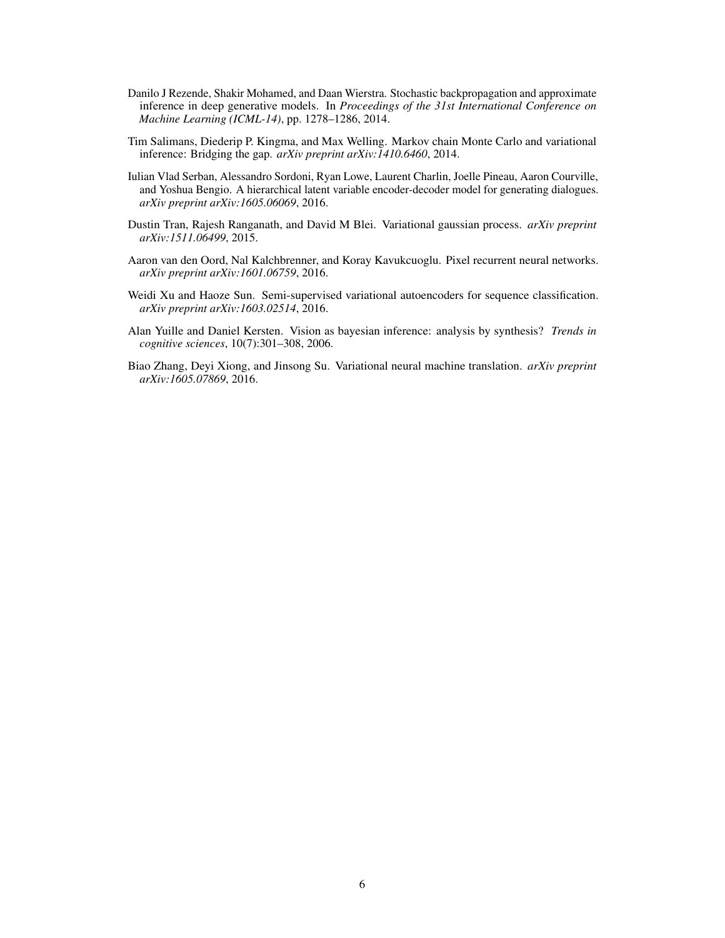- <span id="page-5-5"></span>Danilo J Rezende, Shakir Mohamed, and Daan Wierstra. Stochastic backpropagation and approximate inference in deep generative models. In *Proceedings of the 31st International Conference on Machine Learning (ICML-14)*, pp. 1278–1286, 2014.
- <span id="page-5-6"></span>Tim Salimans, Diederip P. Kingma, and Max Welling. Markov chain Monte Carlo and variational inference: Bridging the gap. *arXiv preprint arXiv:1410.6460*, 2014.
- <span id="page-5-2"></span>Iulian Vlad Serban, Alessandro Sordoni, Ryan Lowe, Laurent Charlin, Joelle Pineau, Aaron Courville, and Yoshua Bengio. A hierarchical latent variable encoder-decoder model for generating dialogues. *arXiv preprint arXiv:1605.06069*, 2016.
- <span id="page-5-7"></span>Dustin Tran, Rajesh Ranganath, and David M Blei. Variational gaussian process. *arXiv preprint arXiv:1511.06499*, 2015.
- <span id="page-5-1"></span>Aaron van den Oord, Nal Kalchbrenner, and Koray Kavukcuoglu. Pixel recurrent neural networks. *arXiv preprint arXiv:1601.06759*, 2016.
- <span id="page-5-3"></span>Weidi Xu and Haoze Sun. Semi-supervised variational autoencoders for sequence classification. *arXiv preprint arXiv:1603.02514*, 2016.
- <span id="page-5-0"></span>Alan Yuille and Daniel Kersten. Vision as bayesian inference: analysis by synthesis? *Trends in cognitive sciences*, 10(7):301–308, 2006.
- <span id="page-5-4"></span>Biao Zhang, Deyi Xiong, and Jinsong Su. Variational neural machine translation. *arXiv preprint arXiv:1605.07869*, 2016.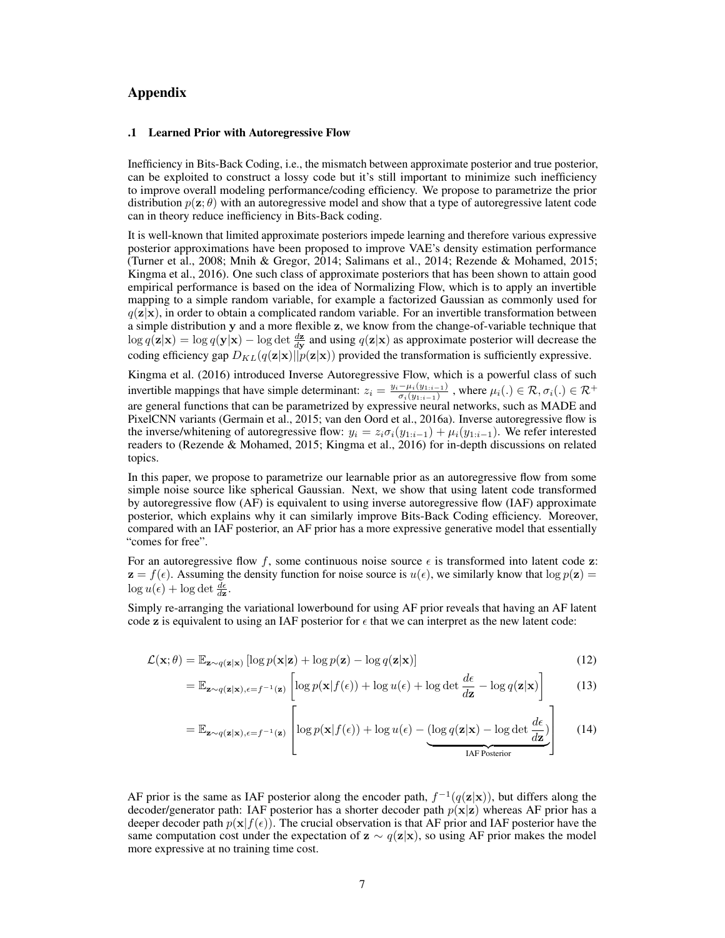### Appendix

#### .1 Learned Prior with Autoregressive Flow

Inefficiency in Bits-Back Coding, i.e., the mismatch between approximate posterior and true posterior, can be exploited to construct a lossy code but it's still important to minimize such inefficiency to improve overall modeling performance/coding efficiency. We propose to parametrize the prior distribution  $p(\mathbf{z}; \theta)$  with an autoregressive model and show that a type of autoregressive latent code can in theory reduce inefficiency in Bits-Back coding.

It is well-known that limited approximate posteriors impede learning and therefore various expressive posterior approximations have been proposed to improve VAE's density estimation performance [\(Turner et al.,](#page-13-0) [2008;](#page-13-0) [Mnih & Gregor,](#page-12-0) [2014;](#page-12-0) [Salimans et al.,](#page-5-6) [2014;](#page-5-6) [Rezende & Mohamed,](#page-4-11) [2015;](#page-4-11) [Kingma et al.,](#page-4-12) [2016\)](#page-4-12). One such class of approximate posteriors that has been shown to attain good empirical performance is based on the idea of Normalizing Flow, which is to apply an invertible mapping to a simple random variable, for example a factorized Gaussian as commonly used for  $q(\mathbf{z}|\mathbf{x})$ , in order to obtain a complicated random variable. For an invertible transformation between a simple distribution y and a more flexible z, we know from the change-of-variable technique that  $\log q(\mathbf{z}|\mathbf{x}) = \log q(\mathbf{y}|\mathbf{x}) - \log \det \frac{d\mathbf{z}}{d\mathbf{y}}$  and using  $q(\mathbf{z}|\mathbf{x})$  as approximate posterior will decrease the coding efficiency gap  $D_{KL}(q(\mathbf{z}|\mathbf{x})||p(\mathbf{z}|\mathbf{x}))$  provided the transformation is sufficiently expressive.

[Kingma et al.](#page-4-12) [\(2016\)](#page-4-12) introduced Inverse Autoregressive Flow, which is a powerful class of such invertible mappings that have simple determinant:  $z_i = \frac{y_i - \mu_i(y_{1:i-1})}{\sigma_i(y_{1:i-1})}$  $\frac{-\mu_i(y_{1:i-1})}{\sigma_i(y_{1:i-1})}$  , where  $\mu_i(.) \in \mathcal{R}, \sigma_i(.) \in \mathcal{R}^+$ are general functions that can be parametrized by expressive neural networks, such as MADE and PixelCNN variants [\(Germain et al.,](#page-11-0) [2015;](#page-11-0) [van den Oord et al.,](#page-5-1) [2016a\)](#page-5-1). Inverse autoregressive flow is the inverse/whitening of autoregressive flow:  $y_i = z_i \sigma_i(y_{1:i-1}) + \mu_i(y_{1:i-1})$ . We refer interested readers to [\(Rezende & Mohamed,](#page-4-11) [2015;](#page-4-11) [Kingma et al.,](#page-4-12) [2016\)](#page-4-12) for in-depth discussions on related topics.

In this paper, we propose to parametrize our learnable prior as an autoregressive flow from some simple noise source like spherical Gaussian. Next, we show that using latent code transformed by autoregressive flow (AF) is equivalent to using inverse autoregressive flow (IAF) approximate posterior, which explains why it can similarly improve Bits-Back Coding efficiency. Moreover, compared with an IAF posterior, an AF prior has a more expressive generative model that essentially "comes for free".

For an autoregressive flow f, some continuous noise source  $\epsilon$  is transformed into latent code z:  $z = f(\epsilon)$ . Assuming the density function for noise source is  $u(\epsilon)$ , we similarly know that  $\log p(z) =$  $\log u(\epsilon) + \log \det \frac{d\epsilon}{d\mathbf{z}}.$ 

Simply re-arranging the variational lowerbound for using AF prior reveals that having an AF latent code z is equivalent to using an IAF posterior for  $\epsilon$  that we can interpret as the new latent code:

$$
\mathcal{L}(\mathbf{x};\theta) = \mathbb{E}_{\mathbf{z} \sim q(\mathbf{z}|\mathbf{x})} [\log p(\mathbf{x}|\mathbf{z}) + \log p(\mathbf{z}) - \log q(\mathbf{z}|\mathbf{x})] \tag{12}
$$

$$
= \mathbb{E}_{\mathbf{z} \sim q(\mathbf{z}|\mathbf{x}), \epsilon = f^{-1}(\mathbf{z})} \left[ \log p(\mathbf{x}|f(\epsilon)) + \log u(\epsilon) + \log \det \frac{d\epsilon}{d\mathbf{z}} - \log q(\mathbf{z}|\mathbf{x}) \right]
$$
(13)

$$
= \mathbb{E}_{\mathbf{z} \sim q(\mathbf{z}|\mathbf{x}), \epsilon = f^{-1}(\mathbf{z})} \left[ \log p(\mathbf{x}|f(\epsilon)) + \log u(\epsilon) - (\log q(\mathbf{z}|\mathbf{x}) - \log \det \frac{d\epsilon}{d\mathbf{z}}) \right]
$$
(14)

AF prior is the same as IAF posterior along the encoder path,  $f^{-1}(q(\mathbf{z}|\mathbf{x}))$ , but differs along the decoder/generator path: IAF posterior has a shorter decoder path  $p(x|z)$  whereas AF prior has a deeper decoder path  $p(x|f(\epsilon))$ . The crucial observation is that AF prior and IAF posterior have the same computation cost under the expectation of  $z \sim q(z|x)$ , so using AF prior makes the model more expressive at no training time cost.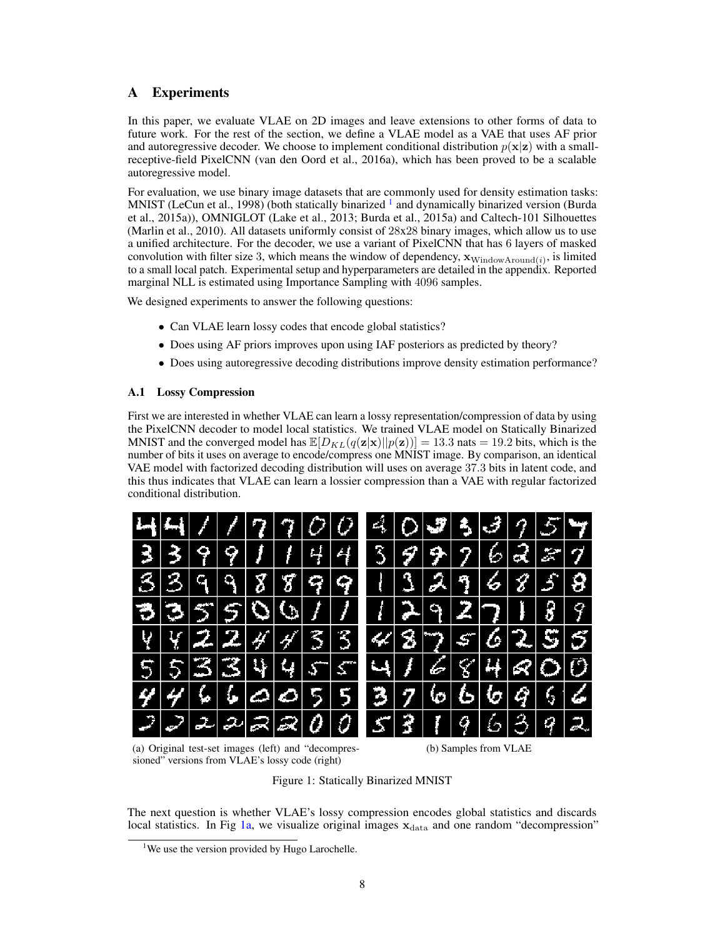# A Experiments

In this paper, we evaluate VLAE on 2D images and leave extensions to other forms of data to future work. For the rest of the section, we define a VLAE model as a VAE that uses AF prior and autoregressive decoder. We choose to implement conditional distribution  $p(x|z)$  with a smallreceptive-field PixelCNN [\(van den Oord et al.,](#page-5-1) [2016a\)](#page-5-1), which has been proved to be a scalable autoregressive model.

For evaluation, we use binary image datasets that are commonly used for density estimation tasks: MNIST [\(LeCun et al.,](#page-12-1) [1998\)](#page-12-1) (both statically binarized <sup>[1](#page-7-0)</sup> and dynamically binarized version [\(Burda](#page-11-1) [et al.,](#page-11-1) [2015a\)](#page-11-1)), OMNIGLOT [\(Lake et al.,](#page-12-2) [2013;](#page-12-2) [Burda et al.,](#page-11-1) [2015a\)](#page-11-1) and Caltech-101 Silhouettes [\(Marlin et al.,](#page-12-3) [2010\)](#page-12-3). All datasets uniformly consist of 28x28 binary images, which allow us to use a unified architecture. For the decoder, we use a variant of PixelCNN that has 6 layers of masked convolution with filter size 3, which means the window of dependency,  $\mathbf{x}_{\text{WindowAround}(i)}$ , is limited to a small local patch. Experimental setup and hyperparameters are detailed in the appendix. Reported marginal NLL is estimated using Importance Sampling with 4096 samples.

We designed experiments to answer the following questions:

- Can VLAE learn lossy codes that encode global statistics?
- Does using AF priors improves upon using IAF posteriors as predicted by theory?
- Does using autoregressive decoding distributions improve density estimation performance?

### A.1 Lossy Compression

First we are interested in whether VLAE can learn a lossy representation/compression of data by using the PixelCNN decoder to model local statistics. We trained VLAE model on Statically Binarized MNIST and the converged model has  $\mathbb{E}[D_{KL}(q(\mathbf{z}|\mathbf{x})||p(\mathbf{z}))] = 13.3$  nats = 19.2 bits, which is the number of bits it uses on average to encode/compress one MNIST image. By comparison, an identical VAE model with factorized decoding distribution will uses on average 37.3 bits in latent code, and this thus indicates that VLAE can learn a lossier compression than a VAE with regular factorized conditional distribution.

<span id="page-7-1"></span>

| 페페기기7  7  이어                  |  |  |  |  |  |  | 40354157                                    |  |
|-------------------------------|--|--|--|--|--|--|---------------------------------------------|--|
| 339911144                     |  |  |  |  |  |  | 3 9 9 2 6 3 5 7                             |  |
| 33998799                      |  |  |  |  |  |  | 132966858                                   |  |
| 33550077                      |  |  |  |  |  |  | $ 1 $ $\geq$ $ 2 $ $\geq$ $ 1 $ $ 3 $ $ 9 $ |  |
| q   q   z   z   q   q   3   3 |  |  |  |  |  |  | 48756255                                    |  |
| 55334455                      |  |  |  |  |  |  | 4168400                                     |  |
| $ y y $ 6 6 0 0 5 5           |  |  |  |  |  |  | 3 7 6 6 6 9 6 6                             |  |
| $ D $ $ D $ $ D $ $ D $ $ D $ |  |  |  |  |  |  | 53196392                                    |  |
|                               |  |  |  |  |  |  |                                             |  |

(a) Original test-set images (left) and "decompressioned" versions from VLAE's lossy code (right)

(b) Samples from VLAE

Figure 1: Statically Binarized MNIST

The next question is whether VLAE's lossy compression encodes global statistics and discards local statistics. In Fig [1a,](#page-7-1) we visualize original images  $x<sub>data</sub>$  and one random "decompression"

<span id="page-7-0"></span><sup>&</sup>lt;sup>1</sup>We use the version provided by Hugo Larochelle.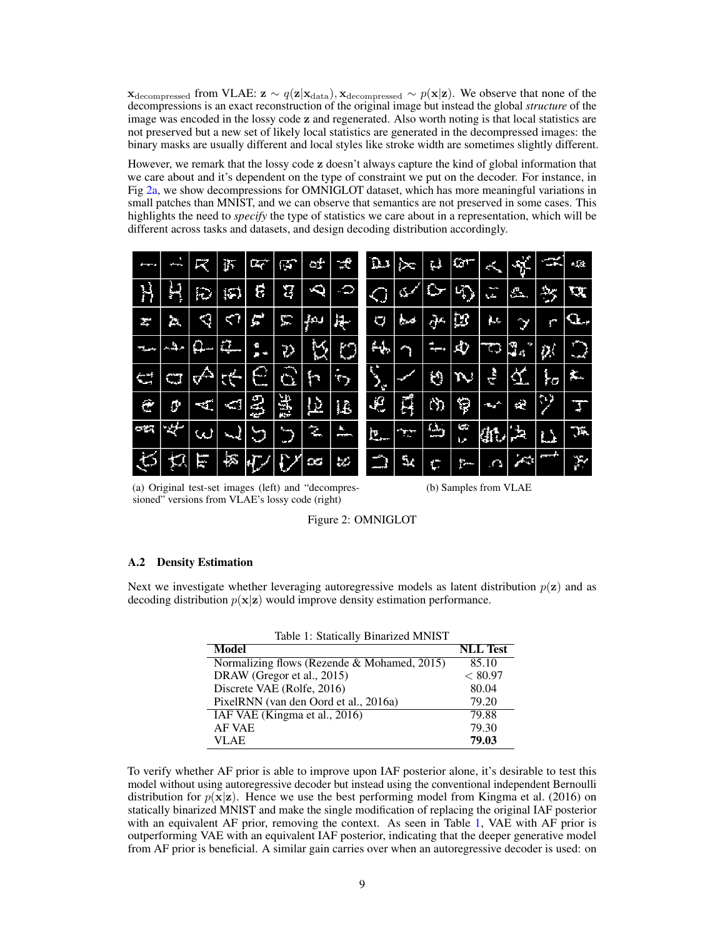$\mathbf{x}_{\text{decompressed}}$  from VLAE:  $\mathbf{z} \sim q(\mathbf{z}|\mathbf{x}_{\text{data}}), \mathbf{x}_{\text{decompressed}} \sim p(\mathbf{x}|\mathbf{z})$ . We observe that none of the decompressions is an exact reconstruction of the original image but instead the global *structure* of the image was encoded in the lossy code z and regenerated. Also worth noting is that local statistics are not preserved but a new set of likely local statistics are generated in the decompressed images: the binary masks are usually different and local styles like stroke width are sometimes slightly different.

However, we remark that the lossy code z doesn't always capture the kind of global information that we care about and it's dependent on the type of constraint we put on the decoder. For instance, in Fig [2a,](#page-8-0) we show decompressions for OMNIGLOT dataset, which has more meaningful variations in small patches than MNIST, and we can observe that semantics are not preserved in some cases. This highlights the need to *specify* the type of statistics we care about in a representation, which will be different across tasks and datasets, and design decoding distribution accordingly.

<span id="page-8-0"></span>

| --             | --                      | λ   | 揯        | ĿŢ             | 虧        | Ō.                 | 畜                  | Ωı      | ৈ⊂  | Ţ.                                  | $G^+$    | сK,        | $\mathcal{S}$ | <u>یک</u>               | $n$ (see       |
|----------------|-------------------------|-----|----------|----------------|----------|--------------------|--------------------|---------|-----|-------------------------------------|----------|------------|---------------|-------------------------|----------------|
| H              | n<br>Ų                  | Đ   | 昀        | Ę              | ម        | Q                  | Ó                  | ≁       | Œ   | ٢                                   | G)       | ļ<br>w.    | Δ.            | $\rightarrow$           | 觑              |
| r              | 2.                      | Ń   |          | Ē              | 澶        | ىمې                | 战                  | O       | صرخ | ą۲                                  | ţ3       | μ.         | V             | C                       | Q.,            |
| ∼              | منهم                    | a   | 毽        | ò              | Đ        | Ŕ,                 | $\circ$            | щ.      |     | Ŧ,<br>ļ                             | 心        | ÏÔ.        | Ĵ.,<br>r,     | ņ.                      | ∉              |
| r off<br>- 1   | وستحدث<br>$\Phi_{\Phi}$ | ∲   | <b>R</b> | ÷              | O.       | m                  | f,<br>$\mathbf{r}$ | Й       |     | Ю                                   | Ņ        | ÷          | <u>र्थ.</u>   | łσ                      | 辶              |
| Ċ              | o                       | ЧĒ  | Ą        | <b>CAS</b>     | 闇        | $\bf \overline{p}$ | Ţ.                 | J.      | Ĥ   | Č)                                  | Ş        | Ţ9         | á.            | $\langle \cdot \rangle$ | $\overline{1}$ |
| с,             | Æ,                      | لى) | ᅯ        | وسا<br>œ,      | ╰<br>. . | S                  | à.<br>--           | 巴       | £F  | $\omega_{\rm i}$<br><b>Property</b> | ÷<br>۱J. | (jr.       | 떤             | T.                      | Ţц.            |
| $\mathfrak{S}$ | 壌                       | Ē   | 这        | $\overline{V}$ |          | g                  | U.                 | ⇔<br>-- | 5٨  | ť.                                  | ۲.       | $\sqrt{2}$ | , ст          | $\mathbf{w}$            | P              |

(a) Original test-set images (left) and "decompressioned" versions from VLAE's lossy code (right)

(b) Samples from VLAE



#### A.2 Density Estimation

<span id="page-8-1"></span>Next we investigate whether leveraging autoregressive models as latent distribution  $p(z)$  and as decoding distribution  $p(x|z)$  would improve density estimation performance.

Table 1: Statically Binarized MNIST

| 1.001                                       |                 |
|---------------------------------------------|-----------------|
| <b>Model</b>                                | <b>NLL</b> Test |
| Normalizing flows (Rezende & Mohamed, 2015) | 85.10           |
| DRAW (Gregor et al., 2015)                  | < 80.97         |
| Discrete VAE (Rolfe, 2016)                  | 80.04           |
| PixelRNN (van den Oord et al., 2016a)       | 79.20           |
| IAF VAE (Kingma et al., 2016)               | 79.88           |
| <b>AF VAE</b>                               | 79.30           |
| VLAE                                        | 79.03           |

To verify whether AF prior is able to improve upon IAF posterior alone, it's desirable to test this model without using autoregressive decoder but instead using the conventional independent Bernoulli distribution for  $p(x|z)$ . Hence we use the best performing model from [Kingma et al.](#page-4-12) [\(2016\)](#page-4-12) on statically binarized MNIST and make the single modification of replacing the original IAF posterior with an equivalent AF prior, removing the context. As seen in Table [1,](#page-8-1) VAE with AF prior is outperforming VAE with an equivalent IAF posterior, indicating that the deeper generative model from AF prior is beneficial. A similar gain carries over when an autoregressive decoder is used: on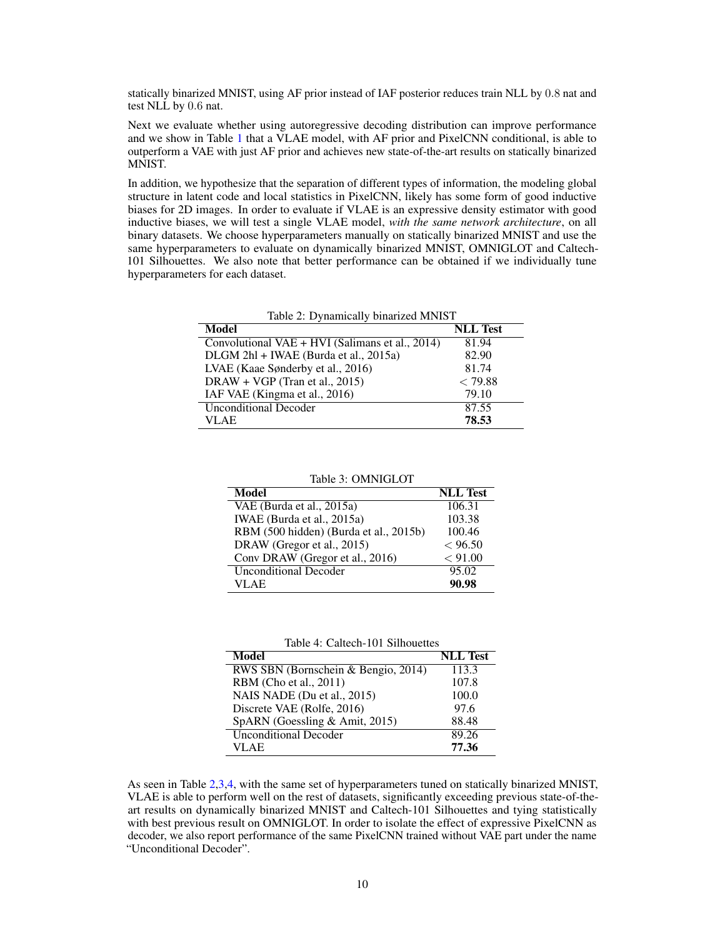statically binarized MNIST, using AF prior instead of IAF posterior reduces train NLL by 0.8 nat and test NLL by 0.6 nat.

Next we evaluate whether using autoregressive decoding distribution can improve performance and we show in Table [1](#page-8-1) that a VLAE model, with AF prior and PixelCNN conditional, is able to outperform a VAE with just AF prior and achieves new state-of-the-art results on statically binarized MNIST.

In addition, we hypothesize that the separation of different types of information, the modeling global structure in latent code and local statistics in PixelCNN, likely has some form of good inductive biases for 2D images. In order to evaluate if VLAE is an expressive density estimator with good inductive biases, we will test a single VLAE model, *with the same network architecture*, on all binary datasets. We choose hyperparameters manually on statically binarized MNIST and use the same hyperparameters to evaluate on dynamically binarized MNIST, OMNIGLOT and Caltech-101 Silhouettes. We also note that better performance can be obtained if we individually tune hyperparameters for each dataset.

<span id="page-9-0"></span>

| Table 2: Dynamically binarized MNIST                         |                 |  |  |  |  |
|--------------------------------------------------------------|-----------------|--|--|--|--|
| <b>Model</b>                                                 | <b>NLL</b> Test |  |  |  |  |
| Convolutional VAE + $\overline{HVI}$ (Salimans et al., 2014) | 81.94           |  |  |  |  |
| DLGM 2hl + IWAE (Burda et al., 2015a)                        | 82.90           |  |  |  |  |
| LVAE (Kaae Sønderby et al., 2016)                            | 81.74           |  |  |  |  |
| DRAW + VGP (Tran et al., 2015)                               | < 79.88         |  |  |  |  |
| IAF VAE (Kingma et al., 2016)                                | 79.10           |  |  |  |  |
| <b>Unconditional Decoder</b>                                 | 87.55           |  |  |  |  |
| VLAE.                                                        | 78.53           |  |  |  |  |

Table 3: OMNIGLOT

<span id="page-9-1"></span>

| <b>Model</b>                           | <b>NLL</b> Test |
|----------------------------------------|-----------------|
| VAE (Burda et al., 2015a)              | 106.31          |
| IWAE (Burda et al., 2015a)             | 103.38          |
| RBM (500 hidden) (Burda et al., 2015b) | 100.46          |
| DRAW (Gregor et al., 2015)             | < 96.50         |
| Conv DRAW (Gregor et al., 2016)        | < 91.00         |
| <b>Unconditional Decoder</b>           | 95.02           |
| VLAE                                   | 90.98           |

Table 4: Caltech-101 Silhouettes

<span id="page-9-2"></span>

| Model                               | <b>NLL</b> Test |
|-------------------------------------|-----------------|
| RWS SBN (Bornschein & Bengio, 2014) | 113.3           |
| RBM (Cho et al., 2011)              | 107.8           |
| NAIS NADE (Du et al., 2015)         | 100.0           |
| Discrete VAE (Rolfe, 2016)          | 97.6            |
| SpARN (Goessling & Amit, 2015)      | 88.48           |
| <b>Unconditional Decoder</b>        | 89.26           |
| VLAE                                | 77.36           |

As seen in Table [2,](#page-9-0)[3,](#page-9-1)[4,](#page-9-2) with the same set of hyperparameters tuned on statically binarized MNIST, VLAE is able to perform well on the rest of datasets, significantly exceeding previous state-of-theart results on dynamically binarized MNIST and Caltech-101 Silhouettes and tying statistically with best previous result on OMNIGLOT. In order to isolate the effect of expressive PixelCNN as decoder, we also report performance of the same PixelCNN trained without VAE part under the name "Unconditional Decoder".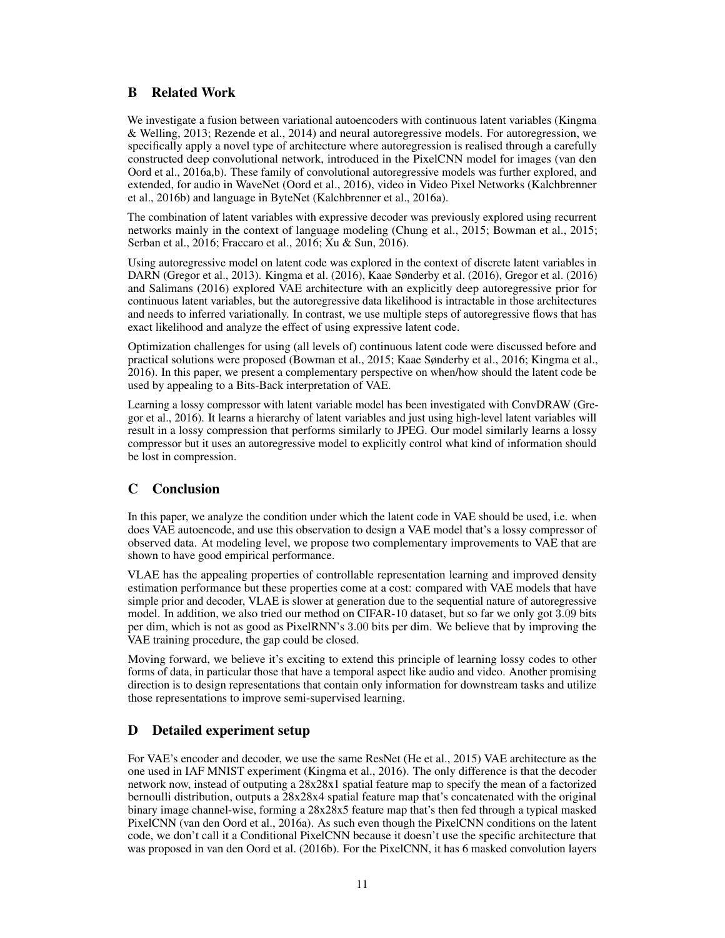## B Related Work

We investigate a fusion between variational autoencoders with continuous latent variables [\(Kingma](#page-4-1) [& Welling,](#page-4-1) [2013;](#page-4-1) [Rezende et al.,](#page-5-5) [2014\)](#page-5-5) and neural autoregressive models. For autoregression, we specifically apply a novel type of architecture where autoregression is realised through a carefully constructed deep convolutional network, introduced in the PixelCNN model for images [\(van den](#page-5-1) [Oord et al.,](#page-5-1) [2016a,](#page-5-1)[b\)](#page-13-1). These family of convolutional autoregressive models was further explored, and extended, for audio in WaveNet [\(Oord et al.,](#page-12-6) [2016\)](#page-12-6), video in Video Pixel Networks [\(Kalchbrenner](#page-12-7) [et al.,](#page-12-7) [2016b\)](#page-12-7) and language in ByteNet [\(Kalchbrenner et al.,](#page-12-8) [2016a\)](#page-12-8).

The combination of latent variables with expressive decoder was previously explored using recurrent networks mainly in the context of language modeling [\(Chung et al.,](#page-4-3) [2015;](#page-4-3) [Bowman et al.,](#page-4-4) [2015;](#page-4-4) [Serban et al.,](#page-5-2) [2016;](#page-5-2) [Fraccaro et al.,](#page-4-5) [2016;](#page-4-5) [Xu & Sun,](#page-5-3) [2016\)](#page-5-3).

Using autoregressive model on latent code was explored in the context of discrete latent variables in DARN [\(Gregor et al.,](#page-4-10) [2013\)](#page-4-10). [Kingma et al.](#page-4-12) [\(2016\)](#page-4-12), [Kaae Sønderby et al.](#page-4-6) [\(2016\)](#page-4-6), [Gregor et al.](#page-12-5) [\(2016\)](#page-12-5) and [Salimans](#page-12-9) [\(2016\)](#page-12-9) explored VAE architecture with an explicitly deep autoregressive prior for continuous latent variables, but the autoregressive data likelihood is intractable in those architectures and needs to inferred variationally. In contrast, we use multiple steps of autoregressive flows that has exact likelihood and analyze the effect of using expressive latent code.

Optimization challenges for using (all levels of) continuous latent code were discussed before and practical solutions were proposed [\(Bowman et al.,](#page-4-4) [2015;](#page-4-4) [Kaae Sønderby et al.,](#page-4-6) [2016;](#page-4-6) [Kingma et al.,](#page-4-12) [2016\)](#page-4-12). In this paper, we present a complementary perspective on when/how should the latent code be used by appealing to a Bits-Back interpretation of VAE.

Learning a lossy compressor with latent variable model has been investigated with ConvDRAW [\(Gre](#page-12-5)[gor et al.,](#page-12-5) [2016\)](#page-12-5). It learns a hierarchy of latent variables and just using high-level latent variables will result in a lossy compression that performs similarly to JPEG. Our model similarly learns a lossy compressor but it uses an autoregressive model to explicitly control what kind of information should be lost in compression.

# C Conclusion

In this paper, we analyze the condition under which the latent code in VAE should be used, i.e. when does VAE autoencode, and use this observation to design a VAE model that's a lossy compressor of observed data. At modeling level, we propose two complementary improvements to VAE that are shown to have good empirical performance.

VLAE has the appealing properties of controllable representation learning and improved density estimation performance but these properties come at a cost: compared with VAE models that have simple prior and decoder, VLAE is slower at generation due to the sequential nature of autoregressive model. In addition, we also tried our method on CIFAR-10 dataset, but so far we only got 3.09 bits per dim, which is not as good as PixelRNN's 3.00 bits per dim. We believe that by improving the VAE training procedure, the gap could be closed.

Moving forward, we believe it's exciting to extend this principle of learning lossy codes to other forms of data, in particular those that have a temporal aspect like audio and video. Another promising direction is to design representations that contain only information for downstream tasks and utilize those representations to improve semi-supervised learning.

# D Detailed experiment setup

For VAE's encoder and decoder, we use the same ResNet [\(He et al.,](#page-12-10) [2015\)](#page-12-10) VAE architecture as the one used in IAF MNIST experiment [\(Kingma et al.,](#page-4-12) [2016\)](#page-4-12). The only difference is that the decoder network now, instead of outputing a 28x28x1 spatial feature map to specify the mean of a factorized bernoulli distribution, outputs a 28x28x4 spatial feature map that's concatenated with the original binary image channel-wise, forming a 28x28x5 feature map that's then fed through a typical masked PixelCNN [\(van den Oord et al.,](#page-5-1) [2016a\)](#page-5-1). As such even though the PixelCNN conditions on the latent code, we don't call it a Conditional PixelCNN because it doesn't use the specific architecture that was proposed in [van den Oord et al.](#page-13-1) [\(2016b\)](#page-13-1). For the PixelCNN, it has 6 masked convolution layers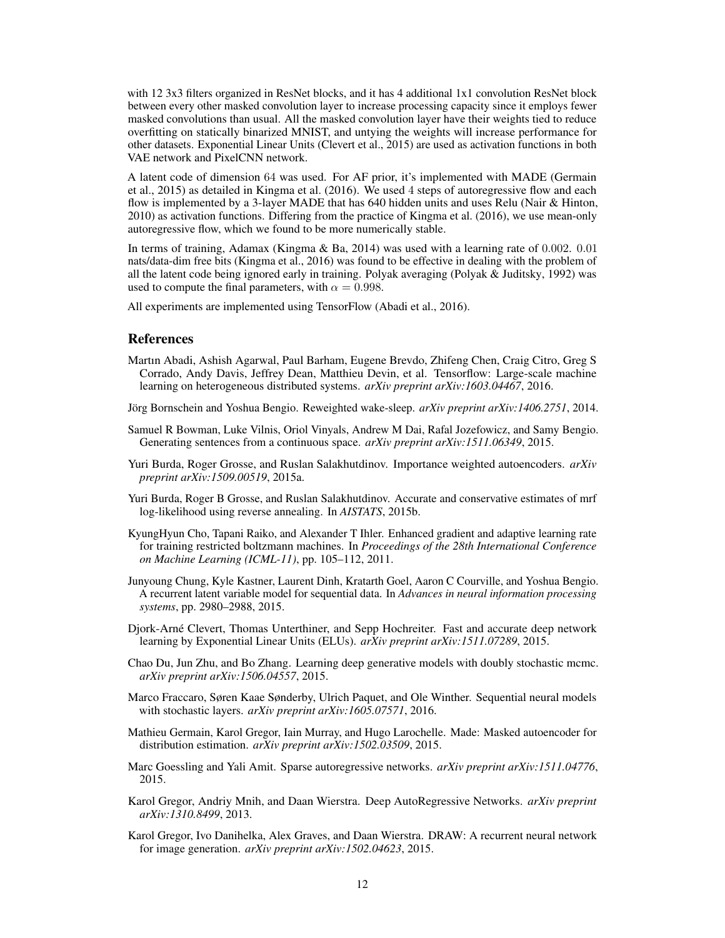with 12 3x3 filters organized in ResNet blocks, and it has 4 additional 1x1 convolution ResNet block between every other masked convolution layer to increase processing capacity since it employs fewer masked convolutions than usual. All the masked convolution layer have their weights tied to reduce overfitting on statically binarized MNIST, and untying the weights will increase performance for other datasets. Exponential Linear Units [\(Clevert et al.,](#page-11-8) [2015\)](#page-11-8) are used as activation functions in both VAE network and PixelCNN network.

A latent code of dimension 64 was used. For AF prior, it's implemented with MADE [\(Germain](#page-11-0) [et al.,](#page-11-0) [2015\)](#page-11-0) as detailed in [Kingma et al.](#page-4-12) [\(2016\)](#page-4-12). We used 4 steps of autoregressive flow and each flow is implemented by a 3-layer MADE that has 640 hidden units and uses Relu [\(Nair & Hinton,](#page-12-11) [2010\)](#page-12-11) as activation functions. Differing from the practice of [Kingma et al.](#page-4-12) [\(2016\)](#page-4-12), we use mean-only autoregressive flow, which we found to be more numerically stable.

In terms of training, Adamax [\(Kingma & Ba,](#page-12-12) [2014\)](#page-12-12) was used with a learning rate of 0.002. 0.01 nats/data-dim free bits [\(Kingma et al.,](#page-4-12) [2016\)](#page-4-12) was found to be effective in dealing with the problem of all the latent code being ignored early in training. Polyak averaging [\(Polyak & Juditsky,](#page-12-13) [1992\)](#page-12-13) was used to compute the final parameters, with  $\alpha = 0.998$ .

All experiments are implemented using TensorFlow [\(Abadi et al.,](#page-11-9) [2016\)](#page-11-9).

### References

<span id="page-11-9"></span>Martın Abadi, Ashish Agarwal, Paul Barham, Eugene Brevdo, Zhifeng Chen, Craig Citro, Greg S Corrado, Andy Davis, Jeffrey Dean, Matthieu Devin, et al. Tensorflow: Large-scale machine learning on heterogeneous distributed systems. *arXiv preprint arXiv:1603.04467*, 2016.

<span id="page-11-4"></span>Jörg Bornschein and Yoshua Bengio. Reweighted wake-sleep. *arXiv preprint arXiv:1406.2751*, 2014.

- Samuel R Bowman, Luke Vilnis, Oriol Vinyals, Andrew M Dai, Rafal Jozefowicz, and Samy Bengio. Generating sentences from a continuous space. *arXiv preprint arXiv:1511.06349*, 2015.
- <span id="page-11-1"></span>Yuri Burda, Roger Grosse, and Ruslan Salakhutdinov. Importance weighted autoencoders. *arXiv preprint arXiv:1509.00519*, 2015a.
- <span id="page-11-3"></span>Yuri Burda, Roger B Grosse, and Ruslan Salakhutdinov. Accurate and conservative estimates of mrf log-likelihood using reverse annealing. In *AISTATS*, 2015b.
- <span id="page-11-5"></span>KyungHyun Cho, Tapani Raiko, and Alexander T Ihler. Enhanced gradient and adaptive learning rate for training restricted boltzmann machines. In *Proceedings of the 28th International Conference on Machine Learning (ICML-11)*, pp. 105–112, 2011.
- Junyoung Chung, Kyle Kastner, Laurent Dinh, Kratarth Goel, Aaron C Courville, and Yoshua Bengio. A recurrent latent variable model for sequential data. In *Advances in neural information processing systems*, pp. 2980–2988, 2015.
- <span id="page-11-8"></span>Djork-Arné Clevert, Thomas Unterthiner, and Sepp Hochreiter. Fast and accurate deep network learning by Exponential Linear Units (ELUs). *arXiv preprint arXiv:1511.07289*, 2015.
- <span id="page-11-6"></span>Chao Du, Jun Zhu, and Bo Zhang. Learning deep generative models with doubly stochastic mcmc. *arXiv preprint arXiv:1506.04557*, 2015.
- Marco Fraccaro, Søren Kaae Sønderby, Ulrich Paquet, and Ole Winther. Sequential neural models with stochastic layers. *arXiv preprint arXiv:1605.07571*, 2016.
- <span id="page-11-0"></span>Mathieu Germain, Karol Gregor, Iain Murray, and Hugo Larochelle. Made: Masked autoencoder for distribution estimation. *arXiv preprint arXiv:1502.03509*, 2015.
- <span id="page-11-7"></span>Marc Goessling and Yali Amit. Sparse autoregressive networks. *arXiv preprint arXiv:1511.04776*, 2015.
- Karol Gregor, Andriy Mnih, and Daan Wierstra. Deep AutoRegressive Networks. *arXiv preprint arXiv:1310.8499*, 2013.
- <span id="page-11-2"></span>Karol Gregor, Ivo Danihelka, Alex Graves, and Daan Wierstra. DRAW: A recurrent neural network for image generation. *arXiv preprint arXiv:1502.04623*, 2015.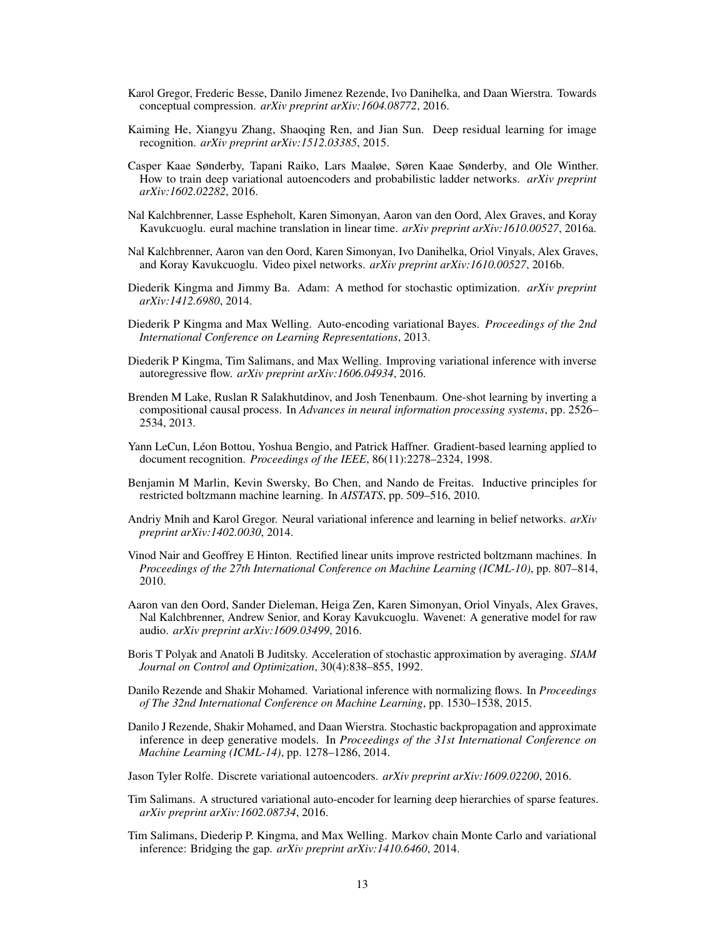- <span id="page-12-5"></span>Karol Gregor, Frederic Besse, Danilo Jimenez Rezende, Ivo Danihelka, and Daan Wierstra. Towards conceptual compression. *arXiv preprint arXiv:1604.08772*, 2016.
- <span id="page-12-10"></span>Kaiming He, Xiangyu Zhang, Shaoqing Ren, and Jian Sun. Deep residual learning for image recognition. *arXiv preprint arXiv:1512.03385*, 2015.
- Casper Kaae Sønderby, Tapani Raiko, Lars Maaløe, Søren Kaae Sønderby, and Ole Winther. How to train deep variational autoencoders and probabilistic ladder networks. *arXiv preprint arXiv:1602.02282*, 2016.
- <span id="page-12-8"></span>Nal Kalchbrenner, Lasse Espheholt, Karen Simonyan, Aaron van den Oord, Alex Graves, and Koray Kavukcuoglu. eural machine translation in linear time. *arXiv preprint arXiv:1610.00527*, 2016a.
- <span id="page-12-7"></span>Nal Kalchbrenner, Aaron van den Oord, Karen Simonyan, Ivo Danihelka, Oriol Vinyals, Alex Graves, and Koray Kavukcuoglu. Video pixel networks. *arXiv preprint arXiv:1610.00527*, 2016b.
- <span id="page-12-12"></span>Diederik Kingma and Jimmy Ba. Adam: A method for stochastic optimization. *arXiv preprint arXiv:1412.6980*, 2014.
- Diederik P Kingma and Max Welling. Auto-encoding variational Bayes. *Proceedings of the 2nd International Conference on Learning Representations*, 2013.
- Diederik P Kingma, Tim Salimans, and Max Welling. Improving variational inference with inverse autoregressive flow. *arXiv preprint arXiv:1606.04934*, 2016.
- <span id="page-12-2"></span>Brenden M Lake, Ruslan R Salakhutdinov, and Josh Tenenbaum. One-shot learning by inverting a compositional causal process. In *Advances in neural information processing systems*, pp. 2526– 2534, 2013.
- <span id="page-12-1"></span>Yann LeCun, Léon Bottou, Yoshua Bengio, and Patrick Haffner. Gradient-based learning applied to document recognition. *Proceedings of the IEEE*, 86(11):2278–2324, 1998.
- <span id="page-12-3"></span>Benjamin M Marlin, Kevin Swersky, Bo Chen, and Nando de Freitas. Inductive principles for restricted boltzmann machine learning. In *AISTATS*, pp. 509–516, 2010.
- <span id="page-12-0"></span>Andriy Mnih and Karol Gregor. Neural variational inference and learning in belief networks. *arXiv preprint arXiv:1402.0030*, 2014.
- <span id="page-12-11"></span>Vinod Nair and Geoffrey E Hinton. Rectified linear units improve restricted boltzmann machines. In *Proceedings of the 27th International Conference on Machine Learning (ICML-10)*, pp. 807–814, 2010.
- <span id="page-12-6"></span>Aaron van den Oord, Sander Dieleman, Heiga Zen, Karen Simonyan, Oriol Vinyals, Alex Graves, Nal Kalchbrenner, Andrew Senior, and Koray Kavukcuoglu. Wavenet: A generative model for raw audio. *arXiv preprint arXiv:1609.03499*, 2016.
- <span id="page-12-13"></span>Boris T Polyak and Anatoli B Juditsky. Acceleration of stochastic approximation by averaging. *SIAM Journal on Control and Optimization*, 30(4):838–855, 1992.
- Danilo Rezende and Shakir Mohamed. Variational inference with normalizing flows. In *Proceedings of The 32nd International Conference on Machine Learning*, pp. 1530–1538, 2015.
- Danilo J Rezende, Shakir Mohamed, and Daan Wierstra. Stochastic backpropagation and approximate inference in deep generative models. In *Proceedings of the 31st International Conference on Machine Learning (ICML-14)*, pp. 1278–1286, 2014.
- <span id="page-12-4"></span>Jason Tyler Rolfe. Discrete variational autoencoders. *arXiv preprint arXiv:1609.02200*, 2016.
- <span id="page-12-9"></span>Tim Salimans. A structured variational auto-encoder for learning deep hierarchies of sparse features. *arXiv preprint arXiv:1602.08734*, 2016.
- Tim Salimans, Diederip P. Kingma, and Max Welling. Markov chain Monte Carlo and variational inference: Bridging the gap. *arXiv preprint arXiv:1410.6460*, 2014.